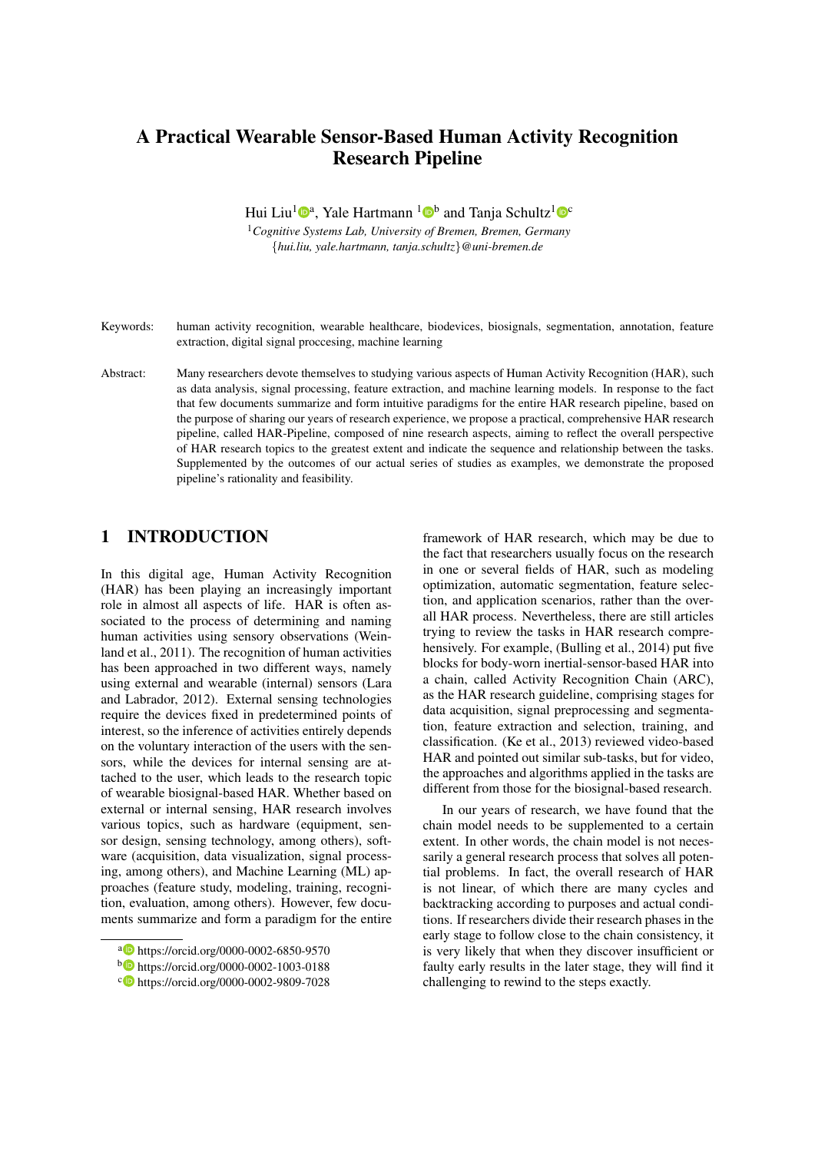# A Practical Wearable Sensor-Based Human Activity Recognition Research Pipeline

Hui Liu<sup>1</sup> <sup>o</sup><sup>a</sup>, Yale Hartmann <sup>1</sup> <sup>o</sup>b and Tanja Schultz<sup>1</sup> <sup>oc</sup>

<sup>1</sup>*Cognitive Systems Lab, University of Bremen, Bremen, Germany* {*hui.liu, yale.hartmann, tanja.schultz*}*@uni-bremen.de*

- Keywords: human activity recognition, wearable healthcare, biodevices, biosignals, segmentation, annotation, feature extraction, digital signal proccesing, machine learning
- Abstract: Many researchers devote themselves to studying various aspects of Human Activity Recognition (HAR), such as data analysis, signal processing, feature extraction, and machine learning models. In response to the fact that few documents summarize and form intuitive paradigms for the entire HAR research pipeline, based on the purpose of sharing our years of research experience, we propose a practical, comprehensive HAR research pipeline, called HAR-Pipeline, composed of nine research aspects, aiming to reflect the overall perspective of HAR research topics to the greatest extent and indicate the sequence and relationship between the tasks. Supplemented by the outcomes of our actual series of studies as examples, we demonstrate the proposed pipeline's rationality and feasibility.

## 1 INTRODUCTION

In this digital age, Human Activity Recognition (HAR) has been playing an increasingly important role in almost all aspects of life. HAR is often associated to the process of determining and naming human activities using sensory observations (Weinland et al., 2011). The recognition of human activities has been approached in two different ways, namely using external and wearable (internal) sensors (Lara and Labrador, 2012). External sensing technologies require the devices fixed in predetermined points of interest, so the inference of activities entirely depends on the voluntary interaction of the users with the sensors, while the devices for internal sensing are attached to the user, which leads to the research topic of wearable biosignal-based HAR. Whether based on external or internal sensing, HAR research involves various topics, such as hardware (equipment, sensor design, sensing technology, among others), software (acquisition, data visualization, signal processing, among others), and Machine Learning (ML) approaches (feature study, modeling, training, recognition, evaluation, among others). However, few documents summarize and form a paradigm for the entire

framework of HAR research, which may be due to the fact that researchers usually focus on the research in one or several fields of HAR, such as modeling optimization, automatic segmentation, feature selection, and application scenarios, rather than the overall HAR process. Nevertheless, there are still articles trying to review the tasks in HAR research comprehensively. For example, (Bulling et al., 2014) put five blocks for body-worn inertial-sensor-based HAR into a chain, called Activity Recognition Chain (ARC), as the HAR research guideline, comprising stages for data acquisition, signal preprocessing and segmentation, feature extraction and selection, training, and classification. (Ke et al., 2013) reviewed video-based HAR and pointed out similar sub-tasks, but for video, the approaches and algorithms applied in the tasks are different from those for the biosignal-based research.

In our years of research, we have found that the chain model needs to be supplemented to a certain extent. In other words, the chain model is not necessarily a general research process that solves all potential problems. In fact, the overall research of HAR is not linear, of which there are many cycles and backtracking according to purposes and actual conditions. If researchers divide their research phases in the early stage to follow close to the chain consistency, it is very likely that when they discover insufficient or faulty early results in the later stage, they will find it challenging to rewind to the steps exactly.

a https://orcid.org/0000-0002-6850-9570

<sup>b</sup> https://orcid.org/0000-0002-1003-0188

<sup>c</sup> https://orcid.org/0000-0002-9809-7028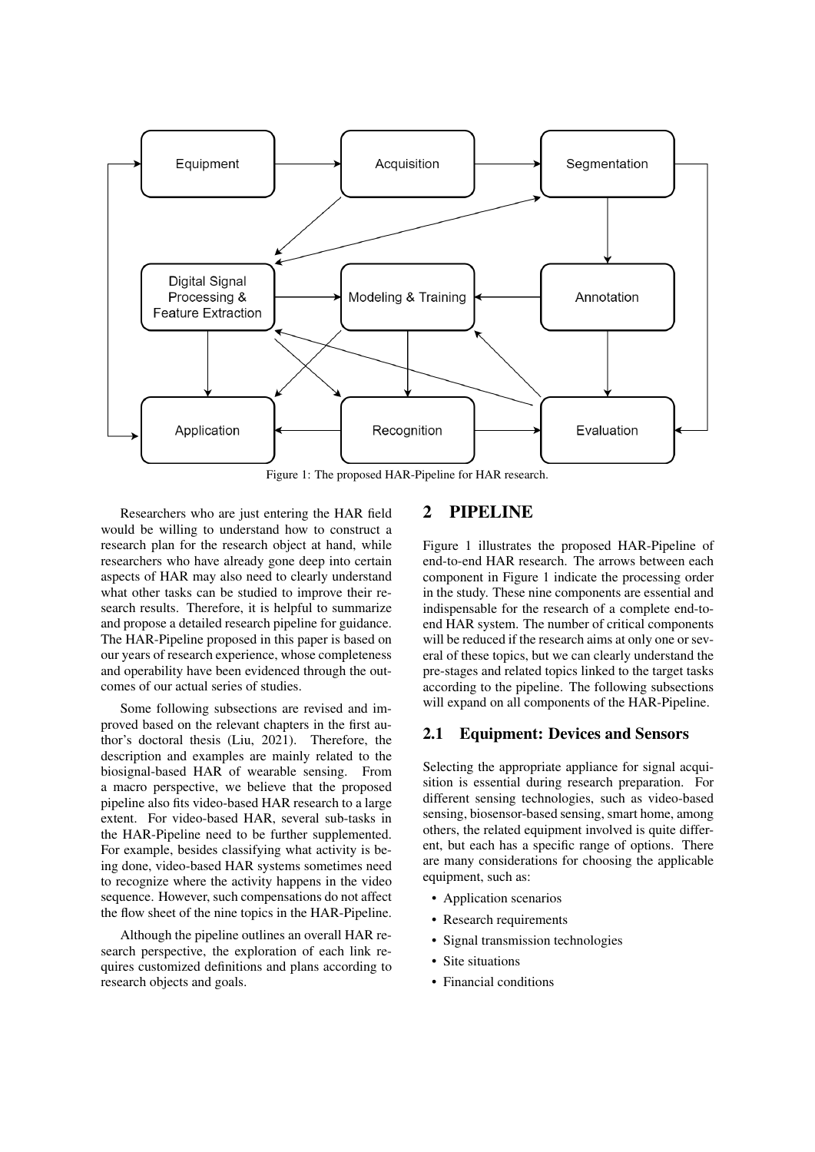

Figure 1: The proposed HAR-Pipeline for HAR research.

Researchers who are just entering the HAR field would be willing to understand how to construct a research plan for the research object at hand, while researchers who have already gone deep into certain aspects of HAR may also need to clearly understand what other tasks can be studied to improve their research results. Therefore, it is helpful to summarize and propose a detailed research pipeline for guidance. The HAR-Pipeline proposed in this paper is based on our years of research experience, whose completeness and operability have been evidenced through the outcomes of our actual series of studies.

Some following subsections are revised and improved based on the relevant chapters in the first author's doctoral thesis (Liu, 2021). Therefore, the description and examples are mainly related to the biosignal-based HAR of wearable sensing. From a macro perspective, we believe that the proposed pipeline also fits video-based HAR research to a large extent. For video-based HAR, several sub-tasks in the HAR-Pipeline need to be further supplemented. For example, besides classifying what activity is being done, video-based HAR systems sometimes need to recognize where the activity happens in the video sequence. However, such compensations do not affect the flow sheet of the nine topics in the HAR-Pipeline.

Although the pipeline outlines an overall HAR research perspective, the exploration of each link requires customized definitions and plans according to research objects and goals.

## 2 PIPELINE

Figure 1 illustrates the proposed HAR-Pipeline of end-to-end HAR research. The arrows between each component in Figure 1 indicate the processing order in the study. These nine components are essential and indispensable for the research of a complete end-toend HAR system. The number of critical components will be reduced if the research aims at only one or several of these topics, but we can clearly understand the pre-stages and related topics linked to the target tasks according to the pipeline. The following subsections will expand on all components of the HAR-Pipeline.

#### 2.1 Equipment: Devices and Sensors

Selecting the appropriate appliance for signal acquisition is essential during research preparation. For different sensing technologies, such as video-based sensing, biosensor-based sensing, smart home, among others, the related equipment involved is quite different, but each has a specific range of options. There are many considerations for choosing the applicable equipment, such as:

- Application scenarios
- Research requirements
- Signal transmission technologies
- Site situations
- Financial conditions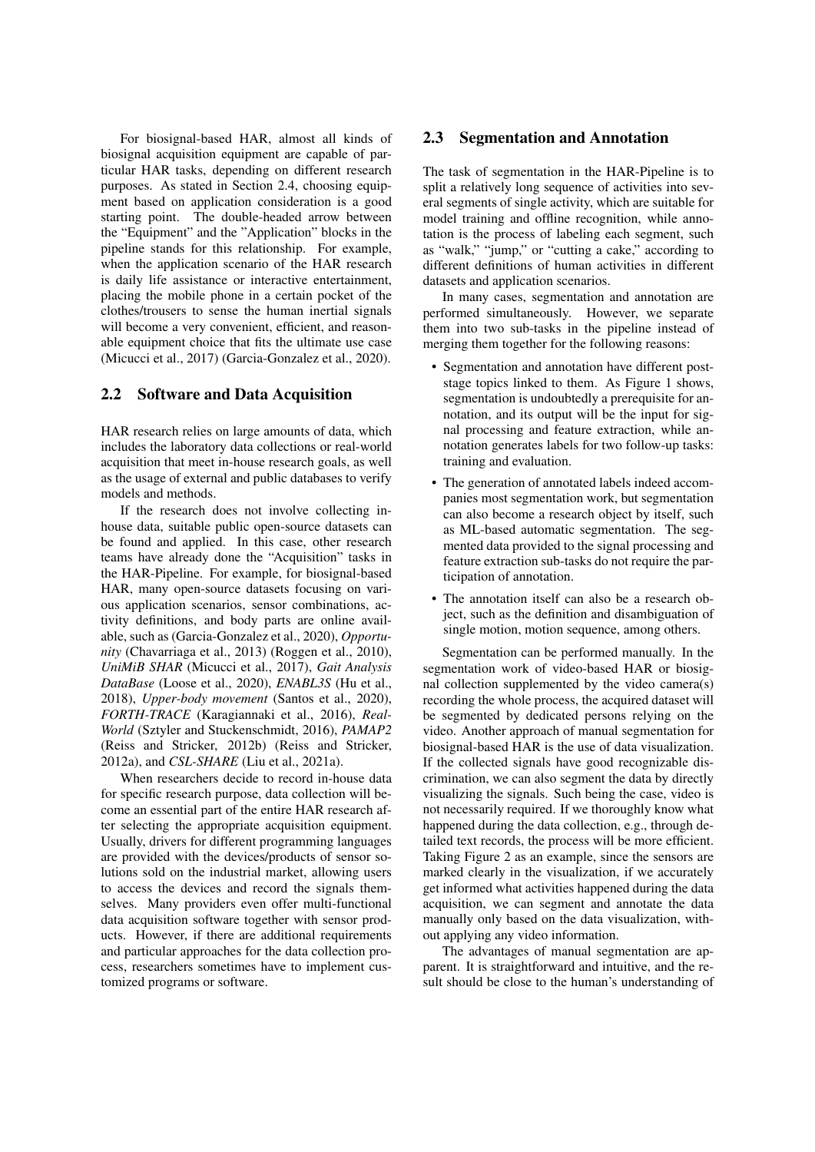For biosignal-based HAR, almost all kinds of biosignal acquisition equipment are capable of particular HAR tasks, depending on different research purposes. As stated in Section 2.4, choosing equipment based on application consideration is a good starting point. The double-headed arrow between the "Equipment" and the "Application" blocks in the pipeline stands for this relationship. For example, when the application scenario of the HAR research is daily life assistance or interactive entertainment, placing the mobile phone in a certain pocket of the clothes/trousers to sense the human inertial signals will become a very convenient, efficient, and reasonable equipment choice that fits the ultimate use case (Micucci et al., 2017) (Garcia-Gonzalez et al., 2020).

#### 2.2 Software and Data Acquisition

HAR research relies on large amounts of data, which includes the laboratory data collections or real-world acquisition that meet in-house research goals, as well as the usage of external and public databases to verify models and methods.

If the research does not involve collecting inhouse data, suitable public open-source datasets can be found and applied. In this case, other research teams have already done the "Acquisition" tasks in the HAR-Pipeline. For example, for biosignal-based HAR, many open-source datasets focusing on various application scenarios, sensor combinations, activity definitions, and body parts are online available, such as (Garcia-Gonzalez et al., 2020), *Opportunity* (Chavarriaga et al., 2013) (Roggen et al., 2010), *UniMiB SHAR* (Micucci et al., 2017), *Gait Analysis DataBase* (Loose et al., 2020), *ENABL3S* (Hu et al., 2018), *Upper-body movement* (Santos et al., 2020), *FORTH-TRACE* (Karagiannaki et al., 2016), *Real-World* (Sztyler and Stuckenschmidt, 2016), *PAMAP2* (Reiss and Stricker, 2012b) (Reiss and Stricker, 2012a), and *CSL-SHARE* (Liu et al., 2021a).

When researchers decide to record in-house data for specific research purpose, data collection will become an essential part of the entire HAR research after selecting the appropriate acquisition equipment. Usually, drivers for different programming languages are provided with the devices/products of sensor solutions sold on the industrial market, allowing users to access the devices and record the signals themselves. Many providers even offer multi-functional data acquisition software together with sensor products. However, if there are additional requirements and particular approaches for the data collection process, researchers sometimes have to implement customized programs or software.

#### 2.3 Segmentation and Annotation

The task of segmentation in the HAR-Pipeline is to split a relatively long sequence of activities into several segments of single activity, which are suitable for model training and offline recognition, while annotation is the process of labeling each segment, such as "walk," "jump," or "cutting a cake," according to different definitions of human activities in different datasets and application scenarios.

In many cases, segmentation and annotation are performed simultaneously. However, we separate them into two sub-tasks in the pipeline instead of merging them together for the following reasons:

- Segmentation and annotation have different poststage topics linked to them. As Figure 1 shows, segmentation is undoubtedly a prerequisite for annotation, and its output will be the input for signal processing and feature extraction, while annotation generates labels for two follow-up tasks: training and evaluation.
- The generation of annotated labels indeed accompanies most segmentation work, but segmentation can also become a research object by itself, such as ML-based automatic segmentation. The segmented data provided to the signal processing and feature extraction sub-tasks do not require the participation of annotation.
- The annotation itself can also be a research object, such as the definition and disambiguation of single motion, motion sequence, among others.

Segmentation can be performed manually. In the segmentation work of video-based HAR or biosignal collection supplemented by the video camera(s) recording the whole process, the acquired dataset will be segmented by dedicated persons relying on the video. Another approach of manual segmentation for biosignal-based HAR is the use of data visualization. If the collected signals have good recognizable discrimination, we can also segment the data by directly visualizing the signals. Such being the case, video is not necessarily required. If we thoroughly know what happened during the data collection, e.g., through detailed text records, the process will be more efficient. Taking Figure 2 as an example, since the sensors are marked clearly in the visualization, if we accurately get informed what activities happened during the data acquisition, we can segment and annotate the data manually only based on the data visualization, without applying any video information.

The advantages of manual segmentation are apparent. It is straightforward and intuitive, and the result should be close to the human's understanding of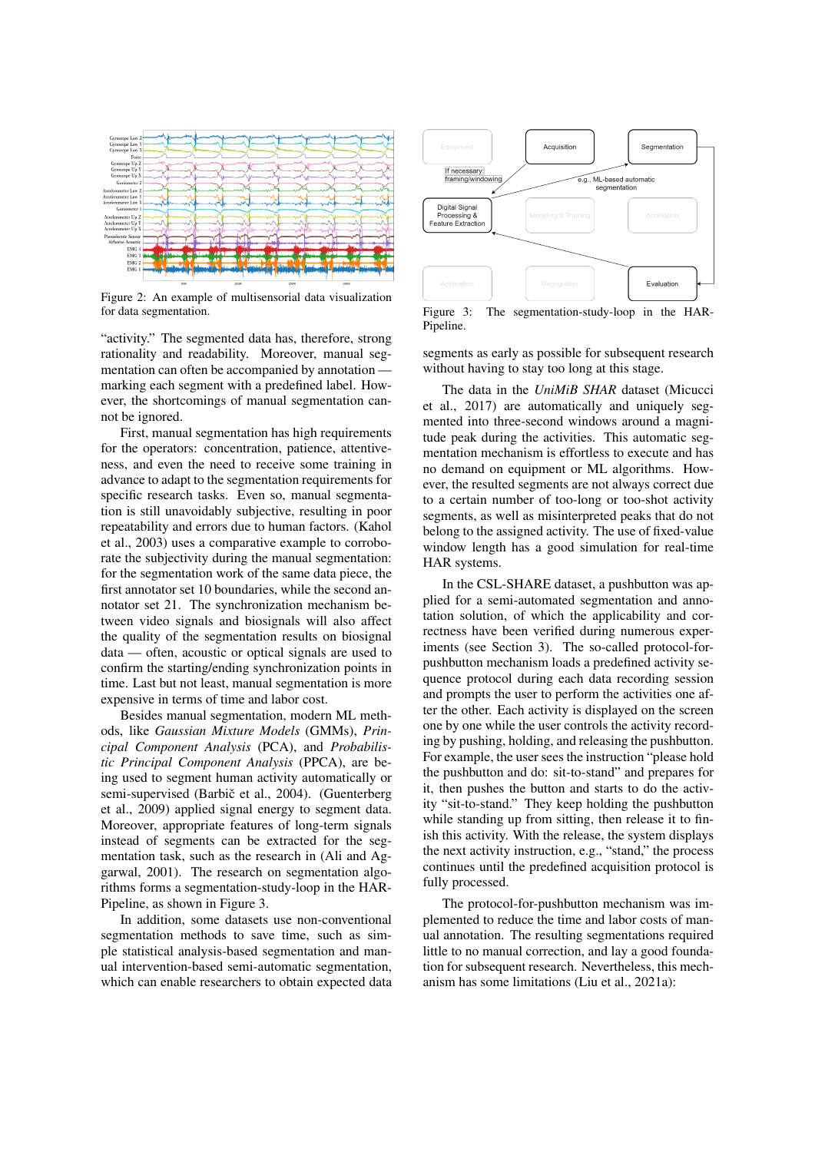

Figure 2: An example of multisensorial data visualization for data segmentation.

"activity." The segmented data has, therefore, strong rationality and readability. Moreover, manual segmentation can often be accompanied by annotation marking each segment with a predefined label. However, the shortcomings of manual segmentation cannot be ignored.

First, manual segmentation has high requirements for the operators: concentration, patience, attentiveness, and even the need to receive some training in advance to adapt to the segmentation requirements for specific research tasks. Even so, manual segmentation is still unavoidably subjective, resulting in poor repeatability and errors due to human factors. (Kahol et al., 2003) uses a comparative example to corroborate the subjectivity during the manual segmentation: for the segmentation work of the same data piece, the first annotator set 10 boundaries, while the second annotator set 21. The synchronization mechanism between video signals and biosignals will also affect the quality of the segmentation results on biosignal data — often, acoustic or optical signals are used to confirm the starting/ending synchronization points in time. Last but not least, manual segmentation is more expensive in terms of time and labor cost.

Besides manual segmentation, modern ML methods, like *Gaussian Mixture Models* (GMMs), *Principal Component Analysis* (PCA), and *Probabilistic Principal Component Analysis* (PPCA), are being used to segment human activity automatically or semi-supervised (Barbič et al., 2004). (Guenterberg et al., 2009) applied signal energy to segment data. Moreover, appropriate features of long-term signals instead of segments can be extracted for the segmentation task, such as the research in (Ali and Aggarwal, 2001). The research on segmentation algorithms forms a segmentation-study-loop in the HAR-Pipeline, as shown in Figure 3.

In addition, some datasets use non-conventional segmentation methods to save time, such as simple statistical analysis-based segmentation and manual intervention-based semi-automatic segmentation, which can enable researchers to obtain expected data



Figure 3: The segmentation-study-loop in the HAR-Pipeline.

segments as early as possible for subsequent research without having to stay too long at this stage.

The data in the *UniMiB SHAR* dataset (Micucci et al., 2017) are automatically and uniquely segmented into three-second windows around a magnitude peak during the activities. This automatic segmentation mechanism is effortless to execute and has no demand on equipment or ML algorithms. However, the resulted segments are not always correct due to a certain number of too-long or too-shot activity segments, as well as misinterpreted peaks that do not belong to the assigned activity. The use of fixed-value window length has a good simulation for real-time HAR systems.

In the CSL-SHARE dataset, a pushbutton was applied for a semi-automated segmentation and annotation solution, of which the applicability and correctness have been verified during numerous experiments (see Section 3). The so-called protocol-forpushbutton mechanism loads a predefined activity sequence protocol during each data recording session and prompts the user to perform the activities one after the other. Each activity is displayed on the screen one by one while the user controls the activity recording by pushing, holding, and releasing the pushbutton. For example, the user sees the instruction "please hold the pushbutton and do: sit-to-stand" and prepares for it, then pushes the button and starts to do the activity "sit-to-stand." They keep holding the pushbutton while standing up from sitting, then release it to finish this activity. With the release, the system displays the next activity instruction, e.g., "stand," the process continues until the predefined acquisition protocol is fully processed.

The protocol-for-pushbutton mechanism was implemented to reduce the time and labor costs of manual annotation. The resulting segmentations required little to no manual correction, and lay a good foundation for subsequent research. Nevertheless, this mechanism has some limitations (Liu et al., 2021a):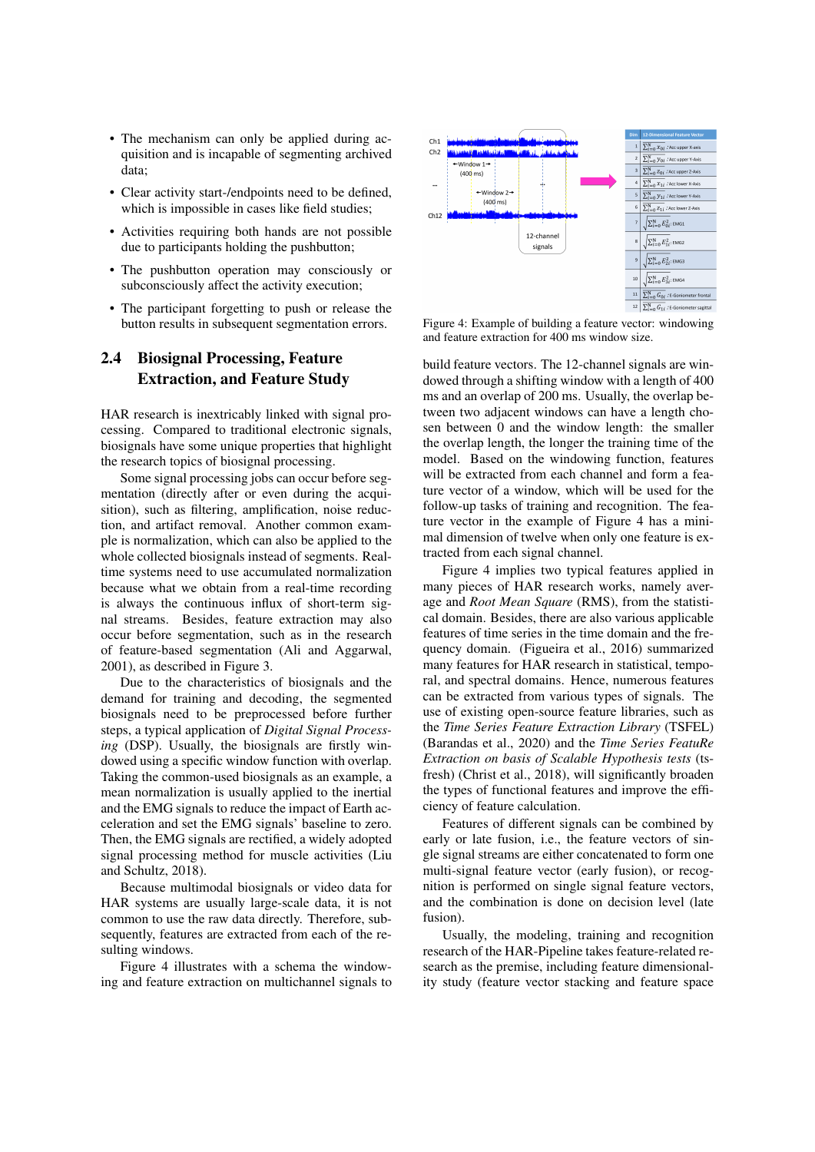- The mechanism can only be applied during acquisition and is incapable of segmenting archived data;
- Clear activity start-/endpoints need to be defined, which is impossible in cases like field studies;
- Activities requiring both hands are not possible due to participants holding the pushbutton;
- The pushbutton operation may consciously or subconsciously affect the activity execution;
- The participant forgetting to push or release the button results in subsequent segmentation errors.

## 2.4 Biosignal Processing, Feature Extraction, and Feature Study

HAR research is inextricably linked with signal processing. Compared to traditional electronic signals, biosignals have some unique properties that highlight the research topics of biosignal processing.

Some signal processing jobs can occur before segmentation (directly after or even during the acquisition), such as filtering, amplification, noise reduction, and artifact removal. Another common example is normalization, which can also be applied to the whole collected biosignals instead of segments. Realtime systems need to use accumulated normalization because what we obtain from a real-time recording is always the continuous influx of short-term signal streams. Besides, feature extraction may also occur before segmentation, such as in the research of feature-based segmentation (Ali and Aggarwal, 2001), as described in Figure 3.

Due to the characteristics of biosignals and the demand for training and decoding, the segmented biosignals need to be preprocessed before further steps, a typical application of *Digital Signal Processing* (DSP). Usually, the biosignals are firstly windowed using a specific window function with overlap. Taking the common-used biosignals as an example, a mean normalization is usually applied to the inertial and the EMG signals to reduce the impact of Earth acceleration and set the EMG signals' baseline to zero. Then, the EMG signals are rectified, a widely adopted signal processing method for muscle activities (Liu and Schultz, 2018).

Because multimodal biosignals or video data for HAR systems are usually large-scale data, it is not common to use the raw data directly. Therefore, subsequently, features are extracted from each of the resulting windows.

Figure 4 illustrates with a schema the windowing and feature extraction on multichannel signals to



Figure 4: Example of building a feature vector: windowing and feature extraction for 400 ms window size.

build feature vectors. The 12-channel signals are windowed through a shifting window with a length of 400 ms and an overlap of 200 ms. Usually, the overlap between two adjacent windows can have a length chosen between 0 and the window length: the smaller the overlap length, the longer the training time of the model. Based on the windowing function, features will be extracted from each channel and form a feature vector of a window, which will be used for the follow-up tasks of training and recognition. The feature vector in the example of Figure 4 has a minimal dimension of twelve when only one feature is extracted from each signal channel.

Figure 4 implies two typical features applied in many pieces of HAR research works, namely average and *Root Mean Square* (RMS), from the statistical domain. Besides, there are also various applicable features of time series in the time domain and the frequency domain. (Figueira et al., 2016) summarized many features for HAR research in statistical, temporal, and spectral domains. Hence, numerous features can be extracted from various types of signals. The use of existing open-source feature libraries, such as the *Time Series Feature Extraction Library* (TSFEL) (Barandas et al., 2020) and the *Time Series FeatuRe Extraction on basis of Scalable Hypothesis tests* (tsfresh) (Christ et al., 2018), will significantly broaden the types of functional features and improve the efficiency of feature calculation.

Features of different signals can be combined by early or late fusion, i.e., the feature vectors of single signal streams are either concatenated to form one multi-signal feature vector (early fusion), or recognition is performed on single signal feature vectors, and the combination is done on decision level (late fusion).

Usually, the modeling, training and recognition research of the HAR-Pipeline takes feature-related research as the premise, including feature dimensionality study (feature vector stacking and feature space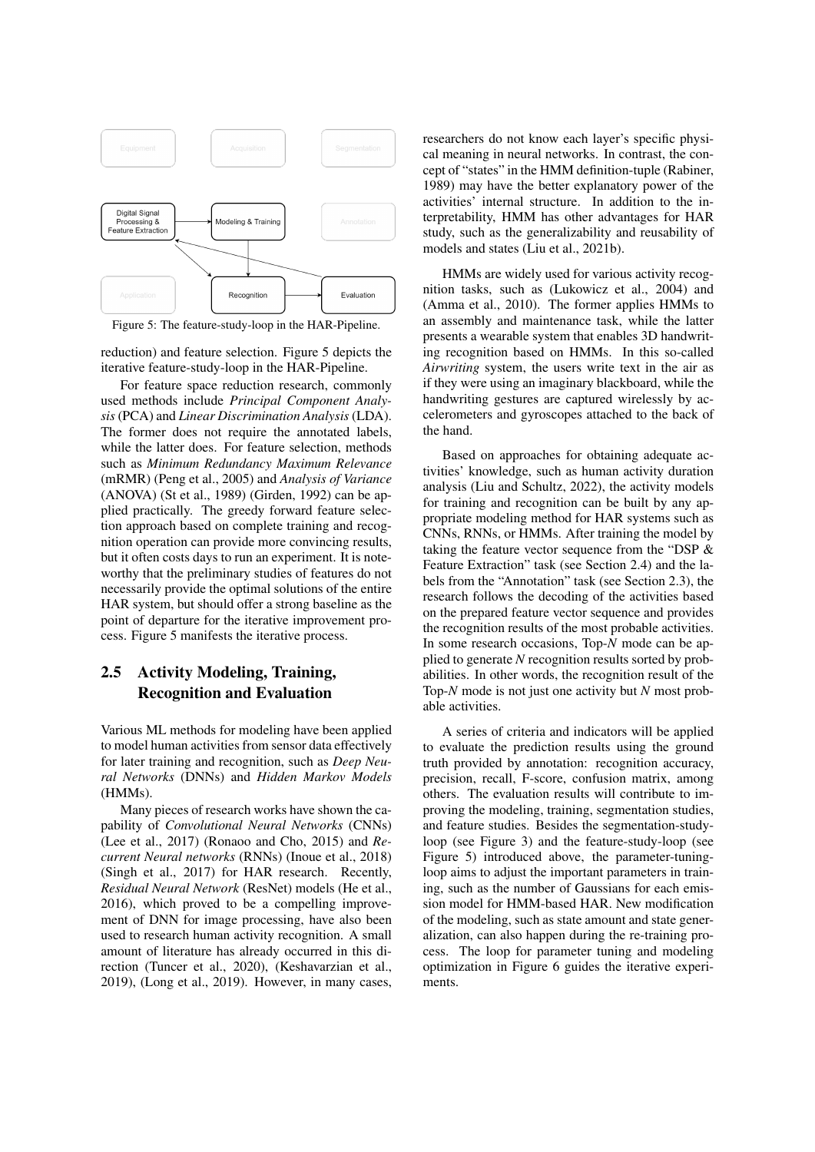

Figure 5: The feature-study-loop in the HAR-Pipeline.

reduction) and feature selection. Figure 5 depicts the iterative feature-study-loop in the HAR-Pipeline.

For feature space reduction research, commonly used methods include *Principal Component Analysis* (PCA) and *Linear Discrimination Analysis* (LDA). The former does not require the annotated labels, while the latter does. For feature selection, methods such as *Minimum Redundancy Maximum Relevance* (mRMR) (Peng et al., 2005) and *Analysis of Variance* (ANOVA) (St et al., 1989) (Girden, 1992) can be applied practically. The greedy forward feature selection approach based on complete training and recognition operation can provide more convincing results, but it often costs days to run an experiment. It is noteworthy that the preliminary studies of features do not necessarily provide the optimal solutions of the entire HAR system, but should offer a strong baseline as the point of departure for the iterative improvement process. Figure 5 manifests the iterative process.

# 2.5 Activity Modeling, Training, Recognition and Evaluation

Various ML methods for modeling have been applied to model human activities from sensor data effectively for later training and recognition, such as *Deep Neural Networks* (DNNs) and *Hidden Markov Models* (HMMs).

Many pieces of research works have shown the capability of *Convolutional Neural Networks* (CNNs) (Lee et al., 2017) (Ronaoo and Cho, 2015) and *Recurrent Neural networks* (RNNs) (Inoue et al., 2018) (Singh et al., 2017) for HAR research. Recently, *Residual Neural Network* (ResNet) models (He et al., 2016), which proved to be a compelling improvement of DNN for image processing, have also been used to research human activity recognition. A small amount of literature has already occurred in this direction (Tuncer et al., 2020), (Keshavarzian et al., 2019), (Long et al., 2019). However, in many cases, researchers do not know each layer's specific physical meaning in neural networks. In contrast, the concept of "states" in the HMM definition-tuple (Rabiner, 1989) may have the better explanatory power of the activities' internal structure. In addition to the interpretability, HMM has other advantages for HAR study, such as the generalizability and reusability of models and states (Liu et al., 2021b).

HMMs are widely used for various activity recognition tasks, such as (Lukowicz et al., 2004) and (Amma et al., 2010). The former applies HMMs to an assembly and maintenance task, while the latter presents a wearable system that enables 3D handwriting recognition based on HMMs. In this so-called *Airwriting* system, the users write text in the air as if they were using an imaginary blackboard, while the handwriting gestures are captured wirelessly by accelerometers and gyroscopes attached to the back of the hand.

Based on approaches for obtaining adequate activities' knowledge, such as human activity duration analysis (Liu and Schultz, 2022), the activity models for training and recognition can be built by any appropriate modeling method for HAR systems such as CNNs, RNNs, or HMMs. After training the model by taking the feature vector sequence from the "DSP & Feature Extraction" task (see Section 2.4) and the labels from the "Annotation" task (see Section 2.3), the research follows the decoding of the activities based on the prepared feature vector sequence and provides the recognition results of the most probable activities. In some research occasions, Top-*N* mode can be applied to generate *N* recognition results sorted by probabilities. In other words, the recognition result of the Top-*N* mode is not just one activity but *N* most probable activities.

A series of criteria and indicators will be applied to evaluate the prediction results using the ground truth provided by annotation: recognition accuracy, precision, recall, F-score, confusion matrix, among others. The evaluation results will contribute to improving the modeling, training, segmentation studies, and feature studies. Besides the segmentation-studyloop (see Figure 3) and the feature-study-loop (see Figure 5) introduced above, the parameter-tuningloop aims to adjust the important parameters in training, such as the number of Gaussians for each emission model for HMM-based HAR. New modification of the modeling, such as state amount and state generalization, can also happen during the re-training process. The loop for parameter tuning and modeling optimization in Figure 6 guides the iterative experiments.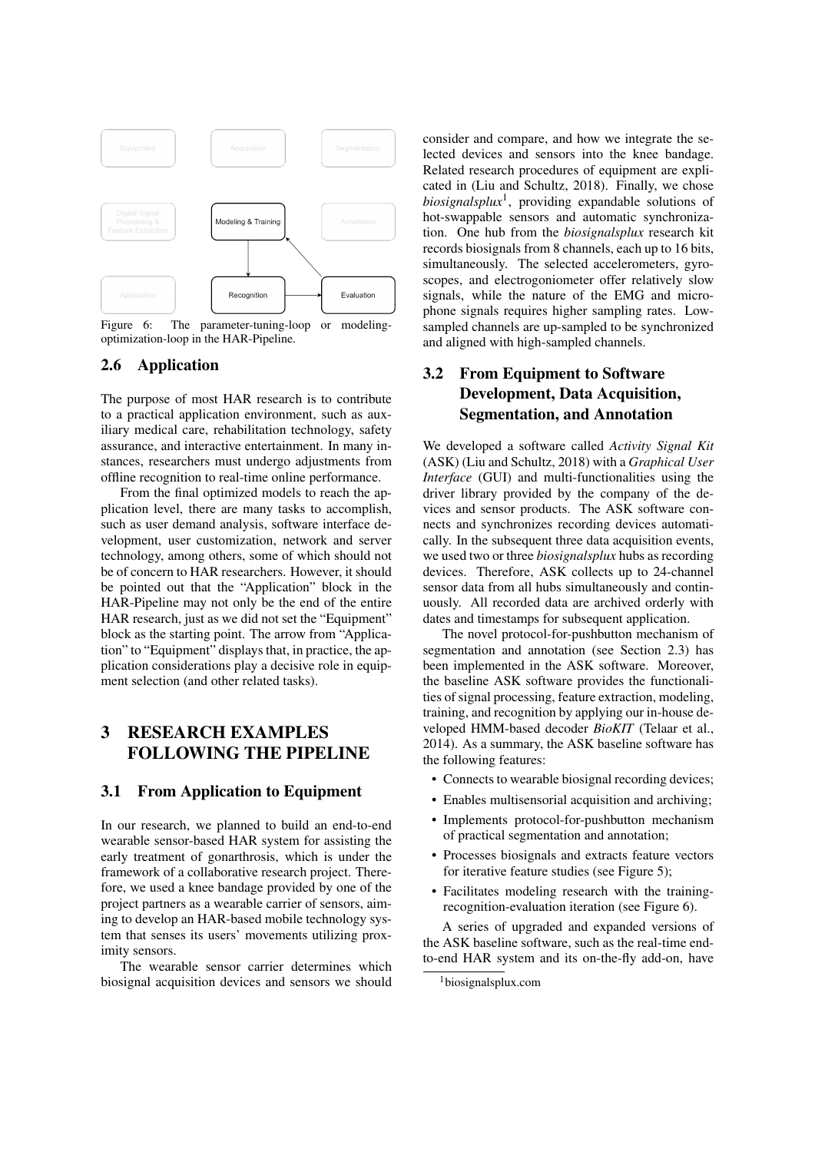

Figure 6: The parameter-tuning-loop or modelingoptimization-loop in the HAR-Pipeline.

### 2.6 Application

The purpose of most HAR research is to contribute to a practical application environment, such as auxiliary medical care, rehabilitation technology, safety assurance, and interactive entertainment. In many instances, researchers must undergo adjustments from offline recognition to real-time online performance.

From the final optimized models to reach the application level, there are many tasks to accomplish, such as user demand analysis, software interface development, user customization, network and server technology, among others, some of which should not be of concern to HAR researchers. However, it should be pointed out that the "Application" block in the HAR-Pipeline may not only be the end of the entire HAR research, just as we did not set the "Equipment" block as the starting point. The arrow from "Application" to "Equipment" displays that, in practice, the application considerations play a decisive role in equipment selection (and other related tasks).

# 3 RESEARCH EXAMPLES FOLLOWING THE PIPELINE

#### 3.1 From Application to Equipment

In our research, we planned to build an end-to-end wearable sensor-based HAR system for assisting the early treatment of gonarthrosis, which is under the framework of a collaborative research project. Therefore, we used a knee bandage provided by one of the project partners as a wearable carrier of sensors, aiming to develop an HAR-based mobile technology system that senses its users' movements utilizing proximity sensors.

The wearable sensor carrier determines which biosignal acquisition devices and sensors we should consider and compare, and how we integrate the selected devices and sensors into the knee bandage. Related research procedures of equipment are explicated in (Liu and Schultz, 2018). Finally, we chose *biosignalsplux*<sup>1</sup> , providing expandable solutions of hot-swappable sensors and automatic synchronization. One hub from the *biosignalsplux* research kit records biosignals from 8 channels, each up to 16 bits, simultaneously. The selected accelerometers, gyroscopes, and electrogoniometer offer relatively slow signals, while the nature of the EMG and microphone signals requires higher sampling rates. Lowsampled channels are up-sampled to be synchronized and aligned with high-sampled channels.

# 3.2 From Equipment to Software Development, Data Acquisition, Segmentation, and Annotation

We developed a software called *Activity Signal Kit* (ASK) (Liu and Schultz, 2018) with a *Graphical User Interface* (GUI) and multi-functionalities using the driver library provided by the company of the devices and sensor products. The ASK software connects and synchronizes recording devices automatically. In the subsequent three data acquisition events, we used two or three *biosignalsplux* hubs as recording devices. Therefore, ASK collects up to 24-channel sensor data from all hubs simultaneously and continuously. All recorded data are archived orderly with dates and timestamps for subsequent application.

The novel protocol-for-pushbutton mechanism of segmentation and annotation (see Section 2.3) has been implemented in the ASK software. Moreover, the baseline ASK software provides the functionalities of signal processing, feature extraction, modeling, training, and recognition by applying our in-house developed HMM-based decoder *BioKIT* (Telaar et al., 2014). As a summary, the ASK baseline software has the following features:

- Connects to wearable biosignal recording devices:
- Enables multisensorial acquisition and archiving;
- Implements protocol-for-pushbutton mechanism of practical segmentation and annotation;
- Processes biosignals and extracts feature vectors for iterative feature studies (see Figure 5);
- Facilitates modeling research with the trainingrecognition-evaluation iteration (see Figure 6).

A series of upgraded and expanded versions of the ASK baseline software, such as the real-time endto-end HAR system and its on-the-fly add-on, have

<sup>1</sup>biosignalsplux.com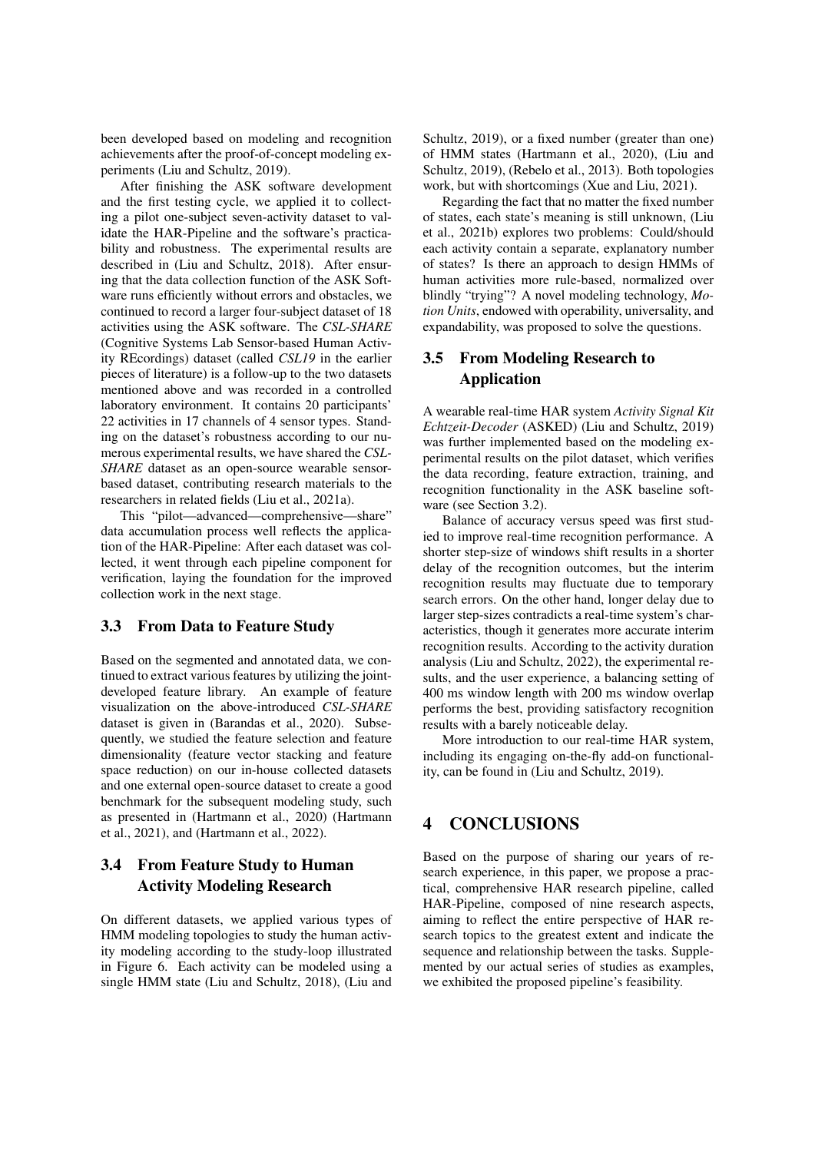been developed based on modeling and recognition achievements after the proof-of-concept modeling experiments (Liu and Schultz, 2019).

After finishing the ASK software development and the first testing cycle, we applied it to collecting a pilot one-subject seven-activity dataset to validate the HAR-Pipeline and the software's practicability and robustness. The experimental results are described in (Liu and Schultz, 2018). After ensuring that the data collection function of the ASK Software runs efficiently without errors and obstacles, we continued to record a larger four-subject dataset of 18 activities using the ASK software. The *CSL-SHARE* (Cognitive Systems Lab Sensor-based Human Activity REcordings) dataset (called *CSL19* in the earlier pieces of literature) is a follow-up to the two datasets mentioned above and was recorded in a controlled laboratory environment. It contains 20 participants' 22 activities in 17 channels of 4 sensor types. Standing on the dataset's robustness according to our numerous experimental results, we have shared the *CSL-SHARE* dataset as an open-source wearable sensorbased dataset, contributing research materials to the researchers in related fields (Liu et al., 2021a).

This "pilot—advanced—comprehensive—share" data accumulation process well reflects the application of the HAR-Pipeline: After each dataset was collected, it went through each pipeline component for verification, laying the foundation for the improved collection work in the next stage.

#### 3.3 From Data to Feature Study

Based on the segmented and annotated data, we continued to extract various features by utilizing the jointdeveloped feature library. An example of feature visualization on the above-introduced *CSL-SHARE* dataset is given in (Barandas et al., 2020). Subsequently, we studied the feature selection and feature dimensionality (feature vector stacking and feature space reduction) on our in-house collected datasets and one external open-source dataset to create a good benchmark for the subsequent modeling study, such as presented in (Hartmann et al., 2020) (Hartmann et al., 2021), and (Hartmann et al., 2022).

## 3.4 From Feature Study to Human Activity Modeling Research

On different datasets, we applied various types of HMM modeling topologies to study the human activity modeling according to the study-loop illustrated in Figure 6. Each activity can be modeled using a single HMM state (Liu and Schultz, 2018), (Liu and Schultz, 2019), or a fixed number (greater than one) of HMM states (Hartmann et al., 2020), (Liu and Schultz, 2019), (Rebelo et al., 2013). Both topologies work, but with shortcomings (Xue and Liu, 2021).

Regarding the fact that no matter the fixed number of states, each state's meaning is still unknown, (Liu et al., 2021b) explores two problems: Could/should each activity contain a separate, explanatory number of states? Is there an approach to design HMMs of human activities more rule-based, normalized over blindly "trying"? A novel modeling technology, *Motion Units*, endowed with operability, universality, and expandability, was proposed to solve the questions.

### 3.5 From Modeling Research to Application

A wearable real-time HAR system *Activity Signal Kit Echtzeit-Decoder* (ASKED) (Liu and Schultz, 2019) was further implemented based on the modeling experimental results on the pilot dataset, which verifies the data recording, feature extraction, training, and recognition functionality in the ASK baseline software (see Section 3.2).

Balance of accuracy versus speed was first studied to improve real-time recognition performance. A shorter step-size of windows shift results in a shorter delay of the recognition outcomes, but the interim recognition results may fluctuate due to temporary search errors. On the other hand, longer delay due to larger step-sizes contradicts a real-time system's characteristics, though it generates more accurate interim recognition results. According to the activity duration analysis (Liu and Schultz, 2022), the experimental results, and the user experience, a balancing setting of 400 ms window length with 200 ms window overlap performs the best, providing satisfactory recognition results with a barely noticeable delay.

More introduction to our real-time HAR system, including its engaging on-the-fly add-on functionality, can be found in (Liu and Schultz, 2019).

## 4 CONCLUSIONS

Based on the purpose of sharing our years of research experience, in this paper, we propose a practical, comprehensive HAR research pipeline, called HAR-Pipeline, composed of nine research aspects, aiming to reflect the entire perspective of HAR research topics to the greatest extent and indicate the sequence and relationship between the tasks. Supplemented by our actual series of studies as examples, we exhibited the proposed pipeline's feasibility.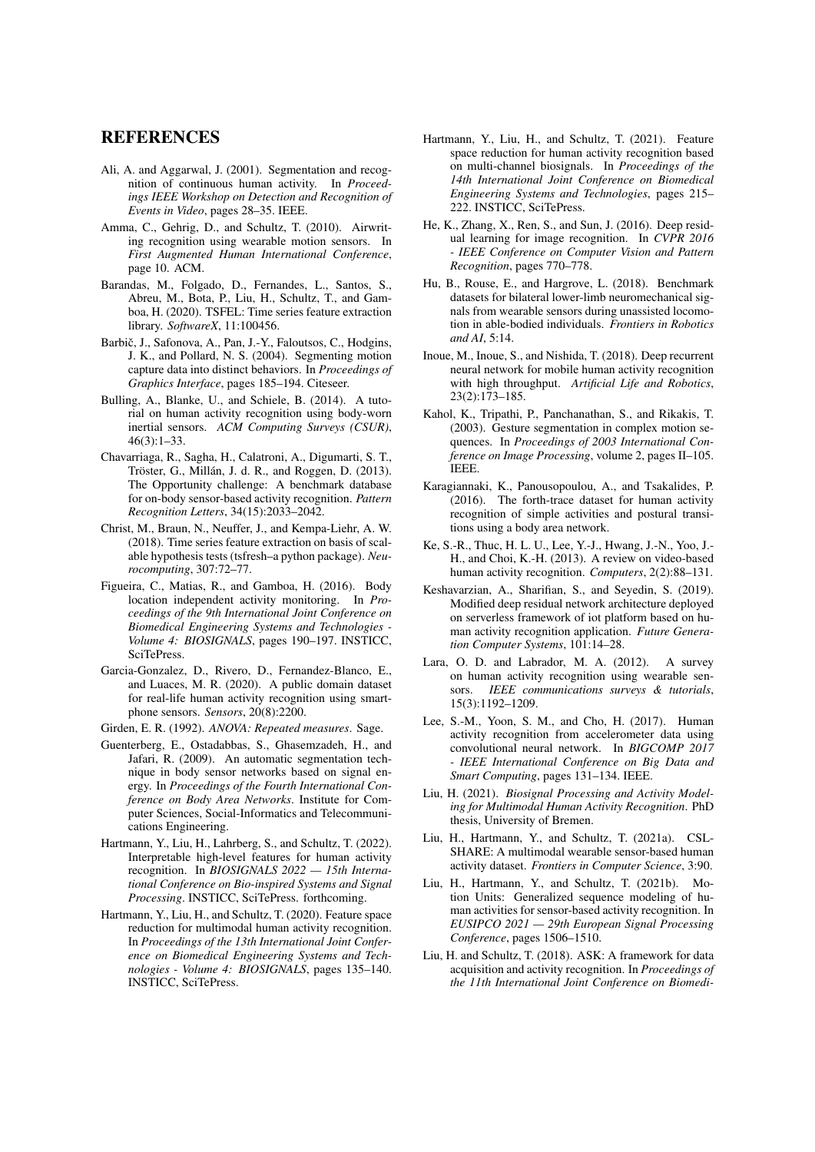#### REFERENCES

- Ali, A. and Aggarwal, J. (2001). Segmentation and recognition of continuous human activity. In *Proceedings IEEE Workshop on Detection and Recognition of Events in Video*, pages 28–35. IEEE.
- Amma, C., Gehrig, D., and Schultz, T. (2010). Airwriting recognition using wearable motion sensors. In *First Augmented Human International Conference*, page 10. ACM.
- Barandas, M., Folgado, D., Fernandes, L., Santos, S., Abreu, M., Bota, P., Liu, H., Schultz, T., and Gamboa, H. (2020). TSFEL: Time series feature extraction library. *SoftwareX*, 11:100456.
- Barbič, J., Safonova, A., Pan, J.-Y., Faloutsos, C., Hodgins, J. K., and Pollard, N. S. (2004). Segmenting motion capture data into distinct behaviors. In *Proceedings of Graphics Interface*, pages 185–194. Citeseer.
- Bulling, A., Blanke, U., and Schiele, B. (2014). A tutorial on human activity recognition using body-worn inertial sensors. *ACM Computing Surveys (CSUR)*, 46(3):1–33.
- Chavarriaga, R., Sagha, H., Calatroni, A., Digumarti, S. T., Tröster, G., Millán, J. d. R., and Roggen, D. (2013). The Opportunity challenge: A benchmark database for on-body sensor-based activity recognition. *Pattern Recognition Letters*, 34(15):2033–2042.
- Christ, M., Braun, N., Neuffer, J., and Kempa-Liehr, A. W. (2018). Time series feature extraction on basis of scalable hypothesis tests (tsfresh–a python package). *Neurocomputing*, 307:72–77.
- Figueira, C., Matias, R., and Gamboa, H. (2016). Body location independent activity monitoring. In *Proceedings of the 9th International Joint Conference on Biomedical Engineering Systems and Technologies - Volume 4: BIOSIGNALS*, pages 190–197. INSTICC, SciTePress.
- Garcia-Gonzalez, D., Rivero, D., Fernandez-Blanco, E., and Luaces, M. R. (2020). A public domain dataset for real-life human activity recognition using smartphone sensors. *Sensors*, 20(8):2200.
- Girden, E. R. (1992). *ANOVA: Repeated measures*. Sage.
- Guenterberg, E., Ostadabbas, S., Ghasemzadeh, H., and Jafari, R. (2009). An automatic segmentation technique in body sensor networks based on signal energy. In *Proceedings of the Fourth International Conference on Body Area Networks*. Institute for Computer Sciences, Social-Informatics and Telecommunications Engineering.
- Hartmann, Y., Liu, H., Lahrberg, S., and Schultz, T. (2022). Interpretable high-level features for human activity recognition. In *BIOSIGNALS 2022 — 15th International Conference on Bio-inspired Systems and Signal Processing*. INSTICC, SciTePress. forthcoming.
- Hartmann, Y., Liu, H., and Schultz, T. (2020). Feature space reduction for multimodal human activity recognition. In *Proceedings of the 13th International Joint Conference on Biomedical Engineering Systems and Technologies - Volume 4: BIOSIGNALS*, pages 135–140. INSTICC, SciTePress.
- Hartmann, Y., Liu, H., and Schultz, T. (2021). Feature space reduction for human activity recognition based on multi-channel biosignals. In *Proceedings of the 14th International Joint Conference on Biomedical Engineering Systems and Technologies*, pages 215– 222. INSTICC, SciTePress.
- He, K., Zhang, X., Ren, S., and Sun, J. (2016). Deep residual learning for image recognition. In *CVPR 2016 - IEEE Conference on Computer Vision and Pattern Recognition*, pages 770–778.
- Hu, B., Rouse, E., and Hargrove, L. (2018). Benchmark datasets for bilateral lower-limb neuromechanical signals from wearable sensors during unassisted locomotion in able-bodied individuals. *Frontiers in Robotics and AI*, 5:14.
- Inoue, M., Inoue, S., and Nishida, T. (2018). Deep recurrent neural network for mobile human activity recognition with high throughput. *Artificial Life and Robotics*, 23(2):173–185.
- Kahol, K., Tripathi, P., Panchanathan, S., and Rikakis, T. (2003). Gesture segmentation in complex motion sequences. In *Proceedings of 2003 International Conference on Image Processing*, volume 2, pages II–105. IEEE.
- Karagiannaki, K., Panousopoulou, A., and Tsakalides, P. (2016). The forth-trace dataset for human activity recognition of simple activities and postural transitions using a body area network.
- Ke, S.-R., Thuc, H. L. U., Lee, Y.-J., Hwang, J.-N., Yoo, J.- H., and Choi, K.-H. (2013). A review on video-based human activity recognition. *Computers*, 2(2):88–131.
- Keshavarzian, A., Sharifian, S., and Seyedin, S. (2019). Modified deep residual network architecture deployed on serverless framework of iot platform based on human activity recognition application. *Future Generation Computer Systems*, 101:14–28.
- Lara, O. D. and Labrador, M. A. (2012). A survey on human activity recognition using wearable sensors. *IEEE communications surveys & tutorials*, 15(3):1192–1209.
- Lee, S.-M., Yoon, S. M., and Cho, H. (2017). Human activity recognition from accelerometer data using convolutional neural network. In *BIGCOMP 2017 - IEEE International Conference on Big Data and Smart Computing*, pages 131–134. IEEE.
- Liu, H. (2021). *Biosignal Processing and Activity Modeling for Multimodal Human Activity Recognition*. PhD thesis, University of Bremen.
- Liu, H., Hartmann, Y., and Schultz, T. (2021a). CSL-SHARE: A multimodal wearable sensor-based human activity dataset. *Frontiers in Computer Science*, 3:90.
- Liu, H., Hartmann, Y., and Schultz, T. (2021b). Motion Units: Generalized sequence modeling of human activities for sensor-based activity recognition. In *EUSIPCO 2021 — 29th European Signal Processing Conference*, pages 1506–1510.
- Liu, H. and Schultz, T. (2018). ASK: A framework for data acquisition and activity recognition. In *Proceedings of the 11th International Joint Conference on Biomedi-*